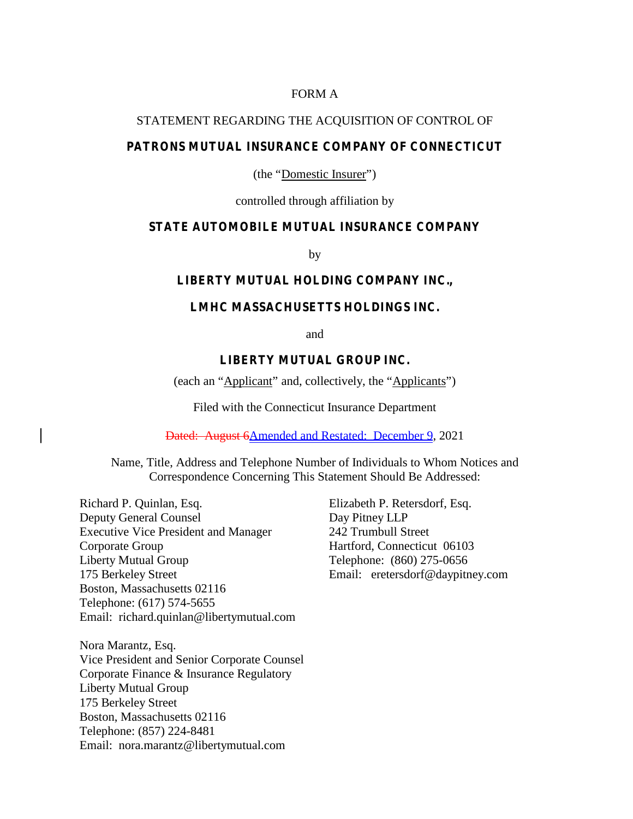## FORM A

#### STATEMENT REGARDING THE ACQUISITION OF CONTROL OF

### **PATRONS MUTUAL INSURANCE COMPANY OF CONNECTICUT**

(the "Domestic Insurer")

controlled through affiliation by

#### **STATE AUTOMOBILE MUTUAL INSURANCE COMPANY**

by

#### **LIBERTY MUTUAL HOLDING COMPANY INC.,**

## **LMHC MASSACHUSETTS HOLDINGS INC.**

and

# **LIBERTY MUTUAL GROUP INC.**

(each an "Applicant" and, collectively, the "Applicants")

Filed with the Connecticut Insurance Department

Dated: August 6Amended and Restated: December 9, 2021

Name, Title, Address and Telephone Number of Individuals to Whom Notices and Correspondence Concerning This Statement Should Be Addressed:

Richard P. Quinlan, Esq. Deputy General Counsel Executive Vice President and Manager Corporate Group Liberty Mutual Group 175 Berkeley Street Boston, Massachusetts 02116 Telephone: (617) 574-5655 Email: richard.quinlan@libertymutual.com

Nora Marantz, Esq. Vice President and Senior Corporate Counsel Corporate Finance & Insurance Regulatory Liberty Mutual Group 175 Berkeley Street Boston, Massachusetts 02116 Telephone: (857) 224-8481 Email: nora.marantz@libertymutual.com

Elizabeth P. Retersdorf, Esq. Day Pitney LLP 242 Trumbull Street Hartford, Connecticut 06103 Telephone: (860) 275-0656 Email: eretersdorf@daypitney.com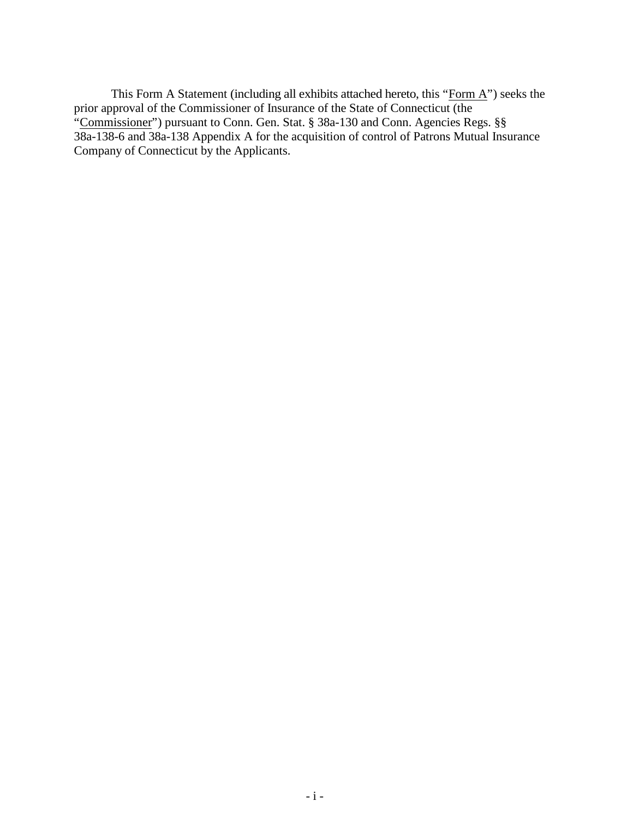This Form A Statement (including all exhibits attached hereto, this "Form A") seeks the prior approval of the Commissioner of Insurance of the State of Connecticut (the "Commissioner") pursuant to Conn. Gen. Stat. § 38a-130 and Conn. Agencies Regs. §§ 38a-138-6 and 38a-138 Appendix A for the acquisition of control of Patrons Mutual Insurance Company of Connecticut by the Applicants.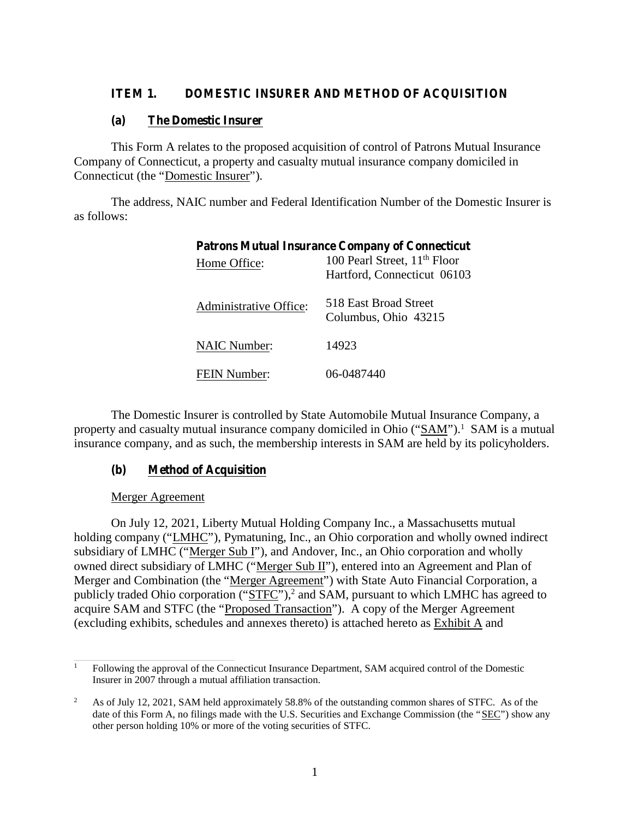# **ITEM 1. DOMESTIC INSURER AND METHOD OF ACQUISITION**

### **(a) The Domestic Insurer**

This Form A relates to the proposed acquisition of control of Patrons Mutual Insurance Company of Connecticut, a property and casualty mutual insurance company domiciled in Connecticut (the "Domestic Insurer").

The address, NAIC number and Federal Identification Number of the Domestic Insurer is as follows:

| <b>Patrons Mutual Insurance Company of Connecticut</b> |                                               |  |
|--------------------------------------------------------|-----------------------------------------------|--|
| Home Office:                                           | 100 Pearl Street, 11 <sup>th</sup> Floor      |  |
|                                                        | Hartford, Connecticut 06103                   |  |
| Administrative Office:                                 | 518 East Broad Street<br>Columbus, Ohio 43215 |  |
| <b>NAIC Number:</b>                                    | 14923                                         |  |
| <b>FEIN Number:</b>                                    | 06-0487440                                    |  |

The Domestic Insurer is controlled by State Automobile Mutual Insurance Company, a property and casualty mutual insurance company domiciled in Ohio ("SAM").<sup>1</sup> SAM is a mutual insurance company, and as such, the membership interests in SAM are held by its policyholders.

## **(b) Method of Acquisition**

#### Merger Agreement

On July 12, 2021, Liberty Mutual Holding Company Inc., a Massachusetts mutual holding company ("LMHC"), Pymatuning, Inc., an Ohio corporation and wholly owned indirect subsidiary of LMHC ("Merger Sub I"), and Andover, Inc., an Ohio corporation and wholly owned direct subsidiary of LMHC ("Merger Sub II"), entered into an Agreement and Plan of Merger and Combination (the "Merger Agreement") with State Auto Financial Corporation, a publicly traded Ohio corporation ("STFC"),<sup>2</sup> and SAM, pursuant to which LMHC has agreed to acquire SAM and STFC (the "Proposed Transaction"). A copy of the Merger Agreement (excluding exhibits, schedules and annexes thereto) is attached hereto as Exhibit A and

<sup>&</sup>lt;sup>1</sup> Following the approval of the Connecticut Insurance Department, SAM acquired control of the Domestic Insurer in 2007 through a mutual affiliation transaction.

<sup>&</sup>lt;sup>2</sup> As of July 12, 2021, SAM held approximately 58.8% of the outstanding common shares of STFC. As of the date of this Form A, no filings made with the U.S. Securities and Exchange Commission (the "SEC") show any other person holding 10% or more of the voting securities of STFC.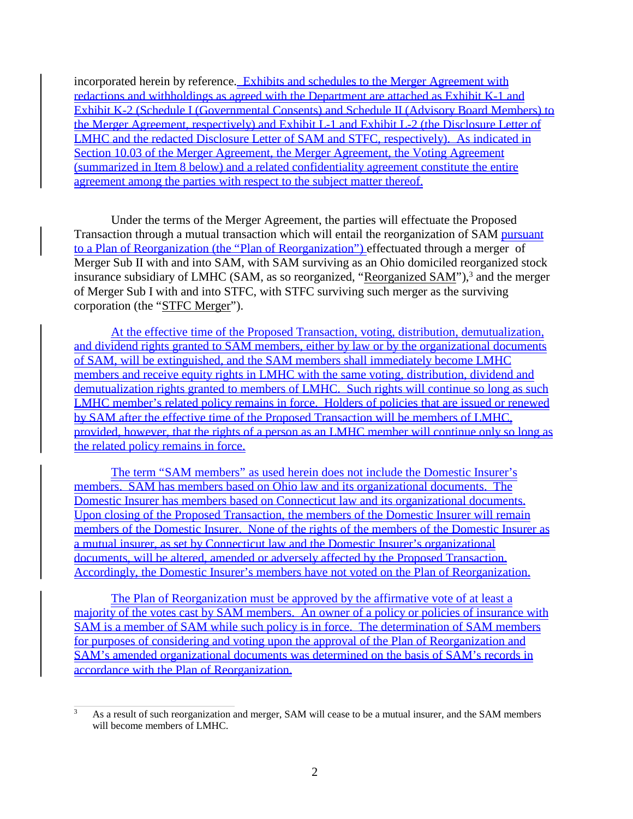incorporated herein by reference. Exhibits and schedules to the Merger Agreement with redactions and withholdings as agreed with the Department are attached as Exhibit K-1 and Exhibit K-2 (Schedule I (Governmental Consents) and Schedule II (Advisory Board Members) to the Merger Agreement, respectively) and Exhibit L-1 and Exhibit L-2 (the Disclosure Letter of LMHC and the redacted Disclosure Letter of SAM and STFC, respectively). As indicated in Section 10.03 of the Merger Agreement, the Merger Agreement, the Voting Agreement (summarized in Item 8 below) and a related confidentiality agreement constitute the entire agreement among the parties with respect to the subject matter thereof.

Under the terms of the Merger Agreement, the parties will effectuate the Proposed Transaction through a mutual transaction which will entail the reorganization of SAM pursuant to a Plan of Reorganization (the "Plan of Reorganization") effectuated through a merger of Merger Sub II with and into SAM, with SAM surviving as an Ohio domiciled reorganized stock insurance subsidiary of LMHC (SAM, as so reorganized, "Reorganized SAM"),<sup>3</sup> and the merger of Merger Sub I with and into STFC, with STFC surviving such merger as the surviving corporation (the "STFC Merger").

At the effective time of the Proposed Transaction, voting, distribution, demutualization, and dividend rights granted to SAM members, either by law or by the organizational documents of SAM, will be extinguished, and the SAM members shall immediately become LMHC members and receive equity rights in LMHC with the same voting, distribution, dividend and demutualization rights granted to members of LMHC. Such rights will continue so long as such LMHC member's related policy remains in force. Holders of policies that are issued or renewed by SAM after the effective time of the Proposed Transaction will be members of LMHC, provided, however, that the rights of a person as an LMHC member will continue only so long as the related policy remains in force.

The term "SAM members" as used herein does not include the Domestic Insurer's members. SAM has members based on Ohio law and its organizational documents. The Domestic Insurer has members based on Connecticut law and its organizational documents. Upon closing of the Proposed Transaction, the members of the Domestic Insurer will remain members of the Domestic Insurer. None of the rights of the members of the Domestic Insurer as a mutual insurer, as set by Connecticut law and the Domestic Insurer's organizational documents, will be altered, amended or adversely affected by the Proposed Transaction. Accordingly, the Domestic Insurer's members have not voted on the Plan of Reorganization.

The Plan of Reorganization must be approved by the affirmative vote of at least a majority of the votes cast by SAM members. An owner of a policy or policies of insurance with SAM is a member of SAM while such policy is in force. The determination of SAM members for purposes of considering and voting upon the approval of the Plan of Reorganization and SAM's amended organizational documents was determined on the basis of SAM's records in accordance with the Plan of Reorganization.

<sup>&</sup>lt;sup>3</sup> As a result of such reorganization and merger, SAM will cease to be a mutual insurer, and the SAM members will become members of LMHC.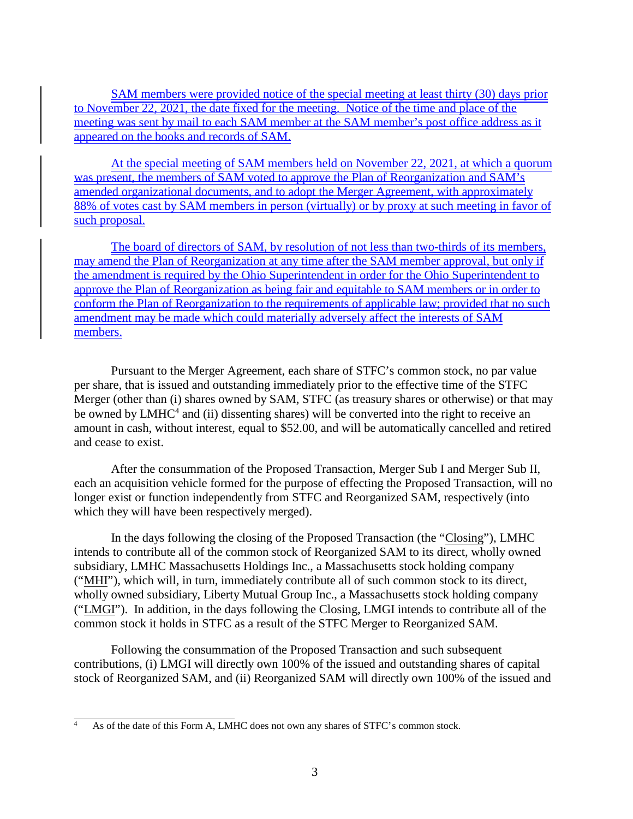SAM members were provided notice of the special meeting at least thirty (30) days prior to November 22, 2021, the date fixed for the meeting. Notice of the time and place of the meeting was sent by mail to each SAM member at the SAM member's post office address as it appeared on the books and records of SAM.

At the special meeting of SAM members held on November 22, 2021, at which a quorum was present, the members of SAM voted to approve the Plan of Reorganization and SAM's amended organizational documents, and to adopt the Merger Agreement, with approximately 88% of votes cast by SAM members in person (virtually) or by proxy at such meeting in favor of such proposal.

The board of directors of SAM, by resolution of not less than two-thirds of its members, may amend the Plan of Reorganization at any time after the SAM member approval, but only if the amendment is required by the Ohio Superintendent in order for the Ohio Superintendent to approve the Plan of Reorganization as being fair and equitable to SAM members or in order to conform the Plan of Reorganization to the requirements of applicable law; provided that no such amendment may be made which could materially adversely affect the interests of SAM members.

Pursuant to the Merger Agreement, each share of STFC's common stock, no par value per share, that is issued and outstanding immediately prior to the effective time of the STFC Merger (other than (i) shares owned by SAM, STFC (as treasury shares or otherwise) or that may be owned by LMHC<sup>4</sup> and (ii) dissenting shares) will be converted into the right to receive an amount in cash, without interest, equal to \$52.00, and will be automatically cancelled and retired and cease to exist.

After the consummation of the Proposed Transaction, Merger Sub I and Merger Sub II, each an acquisition vehicle formed for the purpose of effecting the Proposed Transaction, will no longer exist or function independently from STFC and Reorganized SAM, respectively (into which they will have been respectively merged).

In the days following the closing of the Proposed Transaction (the "Closing"), LMHC intends to contribute all of the common stock of Reorganized SAM to its direct, wholly owned subsidiary, LMHC Massachusetts Holdings Inc., a Massachusetts stock holding company ("MHI"), which will, in turn, immediately contribute allof such common stock to its direct, wholly owned subsidiary, Liberty Mutual Group Inc., a Massachusetts stock holding company ("LMGI"). In addition, in the days following the Closing, LMGI intends to contribute allof the common stock it holds in STFC as a result of the STFC Merger to Reorganized SAM.

Following the consummation of the Proposed Transaction and such subsequent contributions, (i) LMGI will directly own 100% of the issued and outstanding shares of capital stock of Reorganized SAM, and (ii) Reorganized SAM will directly own 100% of the issued and

<sup>4</sup> As of the date of this Form A, LMHC does not own any shares of STFC's common stock.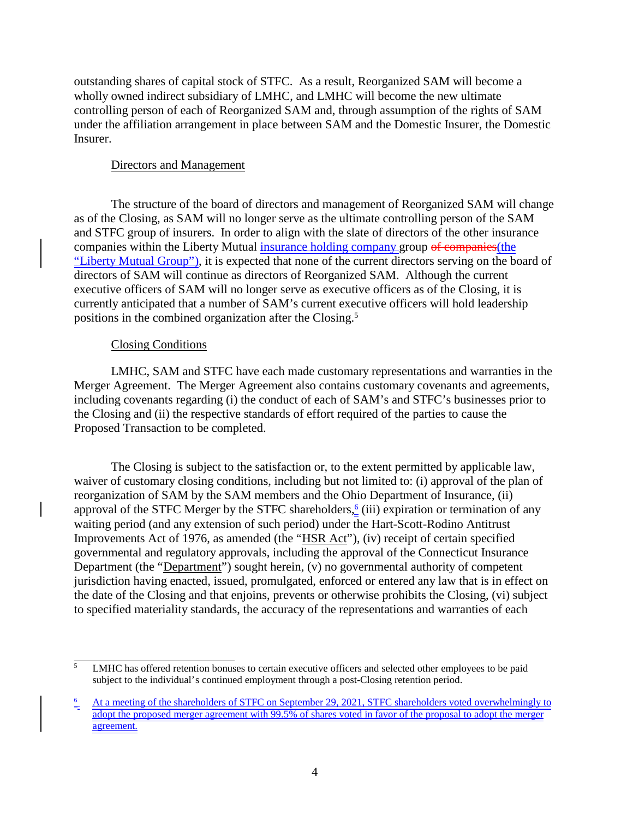outstanding shares of capital stock of STFC. As a result, Reorganized SAM will become a wholly owned indirect subsidiary of LMHC, and LMHC will become the new ultimate controlling person of each of Reorganized SAM and, through assumption of the rights of SAM under the affiliation arrangement in place between SAM and the Domestic Insurer, the Domestic Insurer.<br>Directors and Management

The structure of the board of directors and management of Reorganized SAM will change as of the Closing, as SAM will no longer serve as the ultimate controlling person of the SAM and STFC group of insurers. In order to align with the slate of directors of the other insurance companies within the Liberty Mutual insurance holding company group of companies (the "Liberty Mutual Group"), it is expected that none of the current directors serving on the board of directors of SAM will continue as directors of Reorganized SAM. Although the current executive officers of SAM will no longer serve as executive officers as of the Closing, it is currently anticipated that a number of SAM's current executive officers will hold leadership positions in the combined organization after the Closing.<sup>5</sup>

## Closing Conditions

LMHC, SAM and STFC have each made customary representations and warranties in the Merger Agreement. The Merger Agreement also contains customary covenants and agreements, including covenants regarding (i) the conduct of each of SAM's and STFC's businesses prior to the Closing and (ii) the respective standards of effort required of the parties to cause the Proposed Transaction to be completed.

The Closing is subject to the satisfaction or, to the extent permitted by applicable law, waiver of customary closing conditions, including but not limited to: (i) approval of the plan of reorganization of SAM by the SAM members and the Ohio Department of Insurance, (ii) approval of the STFC Merger by the STFC shareholders,<sup>6</sup> (iii) expiration or termination of any waiting period (and any extension of such period) under the Hart-Scott-Rodino Antitrust Improvements Act of 1976, as amended (the "HSR Act"), (iv) receipt of certain specified governmental and regulatory approvals, including the approval of the Connecticut Insurance Department (the "Department") sought herein, (v) no governmental authority of competent jurisdiction having enacted, issued, promulgated, enforced or entered any law that is in effect on the date of the Closing and that enjoins, prevents or otherwise prohibits the Closing, (vi) subject to specified materiality standards, the accuracy of the representations and warranties of each

<sup>&</sup>lt;sup>5</sup> LMHC has offered retention bonuses to certain executive officers and selected other employees to be paid subject to the individual's continued employment through a post-Closing retention period.

 $\frac{6}{2}$  At a meeting of the shareholders of STFC on September 29, 2021, STFC shareholders voted overwhelmingly to adopt the proposed merger agreement with 99.5% of shares voted in favor of the proposal to adopt the merger agreement.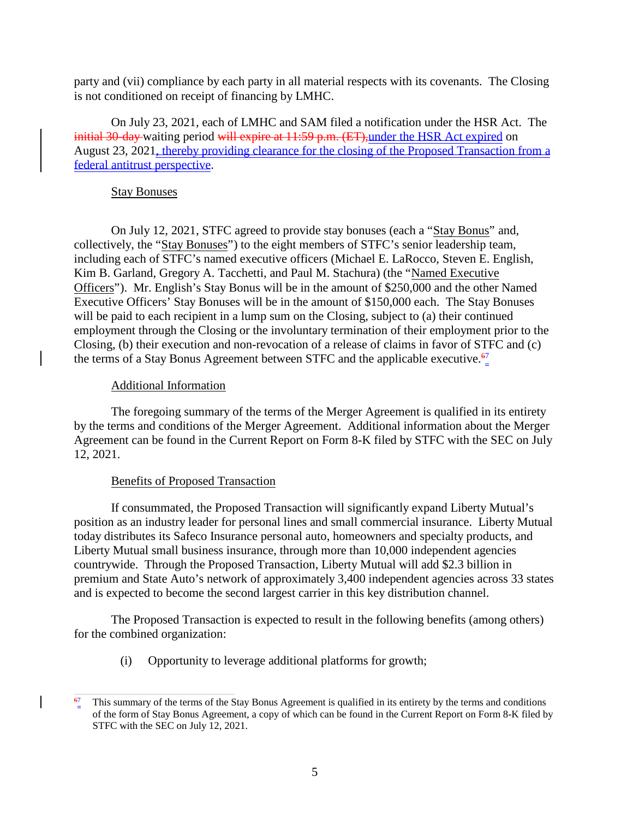party and (vii) compliance by each party in all material respects with its covenants. The Closing is not conditioned on receipt of financing by LMHC.

On July 23, 2021, each of LMHC and SAM filed a notification under the HSR Act. The initial 30-day waiting period will expire at 11:59 p.m. (ET), under the HSR Act expired on August 23, 2021, thereby providing clearance for the closing of the Proposed Transaction from a federal antitrust perspective.

## Stay Bonuses

On July 12, 2021, STFC agreed to provide stay bonuses (each a "Stay Bonus" and, collectively, the "Stay Bonuses") to the eight members of STFC's senior leadership team, including each of STFC's named executive officers (Michael E. LaRocco, Steven E. English, Kim B. Garland, Gregory A. Tacchetti, and Paul M. Stachura) (the "Named Executive Officers"). Mr. English's Stay Bonus will be in the amount of \$250,000 and the other Named Executive Officers' Stay Bonuses will be in the amount of \$150,000 each. The Stay Bonuses will be paid to each recipient in a lump sum on the Closing, subject to (a) their continued employment through the Closing or the involuntary termination of their employment prior to the Closing, (b) their execution and non-revocation of a release of claims in favor of STFC and (c) the terms of a Stay Bonus Agreement between STFC and the applicable executive.<sup>67</sup>

## Additional Information

The foregoing summary of the terms of the Merger Agreement is qualified in its entirety by the terms and conditions of the Merger Agreement. Additional information about the Merger Agreement can be found in the Current Report on Form 8-K filed by STFC with the SEC on July 12, 2021.

## Benefits of Proposed Transaction

If consummated, the Proposed Transaction will significantly expand Liberty Mutual's position as an industry leader for personal lines and small commercial insurance. Liberty Mutual today distributes its Safeco Insurance personal auto, homeowners and specialty products, and Liberty Mutual small business insurance, through more than 10,000 independent agencies countrywide. Through the Proposed Transaction, Liberty Mutual will add \$2.3 billion in premium and State Auto's network of approximately 3,400 independent agencies across 33 states and is expected to become the second largest carrier in this key distribution channel.

The Proposed Transaction is expected to result in the following benefits (among others) for the combined organization:

(i) Opportunity to leverage additional platforms for growth;

This summary of the terms of the Stay Bonus Agreement is qualified in its entirety by the terms and conditions of the form of Stay Bonus Agreement, a copy of which can be found in the Current Report on Form 8-K filed by STFC with the SEC on July 12, 2021.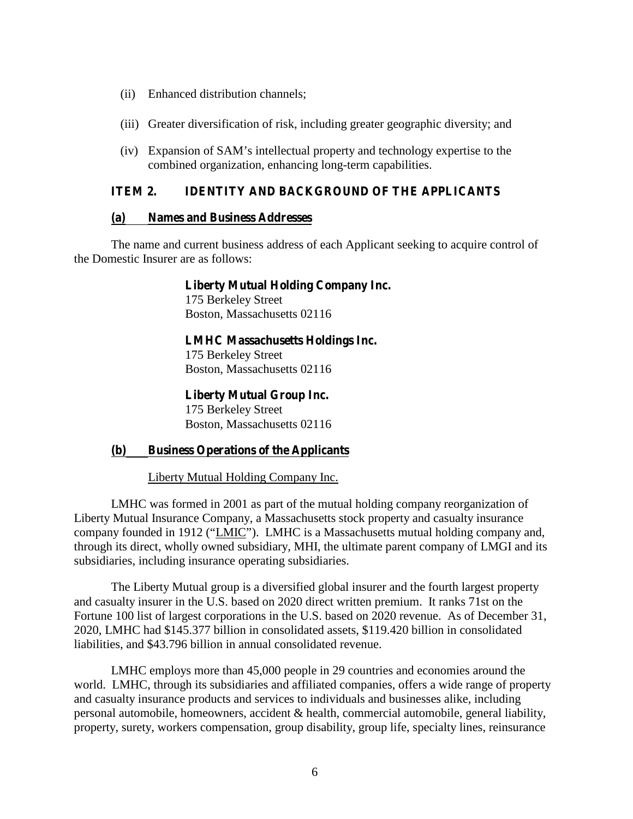- (ii) Enhanced distribution channels;
- (iii) Greater diversification of risk, including greater geographic diversity; and
- (iv) Expansion of SAM's intellectual property and technology expertise to the combined organization, enhancing long-term capabilities.

## **ITEM 2. IDENTITY AND BACKGROUND OF THE APPLICANTS**

### **(a) Names and Business Addresses**

The name and current business address of each Applicant seeking to acquire control of the Domestic Insurer are as follows:

> **Liberty Mutual Holding Company Inc.** 175 Berkeley Street

Boston, Massachusetts 02116

**LMHC Massachusetts Holdings Inc.**

175 Berkeley Street Boston, Massachusetts 02116

**Liberty Mutual Group Inc.**

175 Berkeley Street Boston, Massachusetts 02116

## **(b) Business Operations of the Applicants**

Liberty Mutual Holding Company Inc.

LMHC was formed in 2001 as part of the mutual holding company reorganization of Liberty Mutual Insurance Company, a Massachusetts stock property and casualty insurance company founded in 1912 ("LMIC"). LMHC is a Massachusetts mutual holding company and, through its direct, wholly owned subsidiary, MHI, the ultimate parent company of LMGI and its subsidiaries, including insurance operating subsidiaries.

The Liberty Mutual group is a diversified global insurer and the fourth largest property and casualty insurer in the U.S. based on 2020 direct written premium. It ranks 71st on the Fortune 100 list of largest corporations in the U.S. based on 2020 revenue. As of December 31, 2020, LMHC had \$145.377 billion in consolidated assets, \$119.420 billion in consolidated liabilities, and \$43.796 billion in annual consolidated revenue.

LMHC employs more than 45,000 people in 29 countries and economies around the world. LMHC, through its subsidiaries and affiliated companies, offers a wide range of property and casualty insurance products and services to individuals and businesses alike, including personal automobile, homeowners, accident & health, commercial automobile, general liability, property, surety, workers compensation, group disability, group life, specialty lines, reinsurance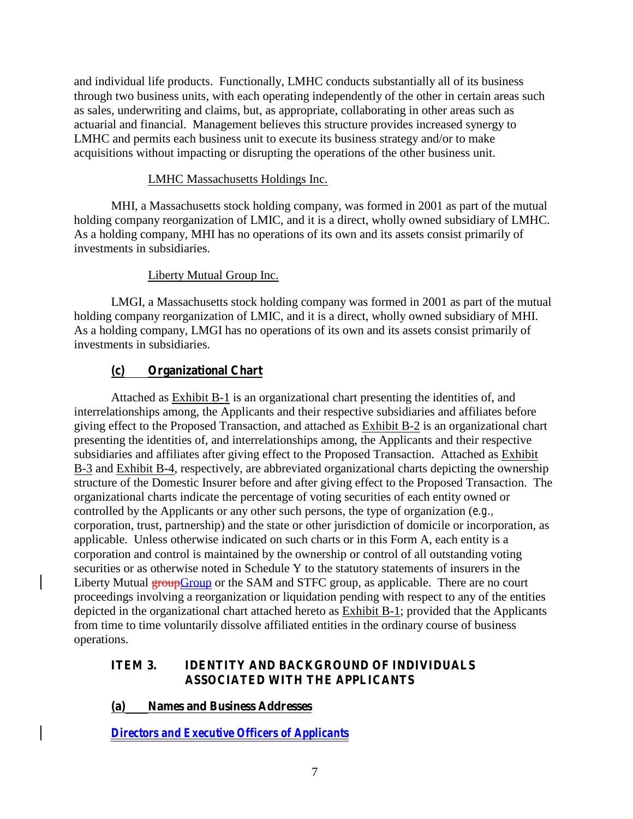and individual life products. Functionally, LMHC conducts substantially all of its business through two business units, with each operating independently of the other in certain areas such as sales, underwriting and claims, but, as appropriate, collaborating in other areas such as actuarial and financial. Management believes this structure provides increased synergy to LMHC and permits each business unit to execute its business strategy and/or to make acquisitions without impacting or disrupting the operations of the other business unit.

# LMHC Massachusetts Holdings Inc.

MHI, a Massachusetts stock holding company, was formed in 2001 as part of the mutual holding company reorganization of LMIC, and it is a direct, wholly owned subsidiary of LMHC. As a holding company, MHI has no operations of its own and its assets consist primarily of investments in subsidiaries.

## Liberty Mutual Group Inc.

LMGI, a Massachusetts stock holding company was formed in 2001 as part of the mutual holding company reorganization of LMIC, and it is a direct, wholly owned subsidiary of MHI. As a holding company, LMGI has no operations of its own and its assets consist primarily of investments in subsidiaries.

# **(c) Organizational Chart**

Attached as Exhibit B-1 is an organizational chart presenting the identities of, and interrelationships among, the Applicants and their respective subsidiaries and affiliates before giving effect to the Proposed Transaction, and attached as Exhibit B-2 is an organizational chart presenting the identities of, and interrelationships among, the Applicants and their respective subsidiaries and affiliates after giving effect to the Proposed Transaction. Attached as Exhibit B-3 and Exhibit B-4, respectively, are abbreviated organizational charts depicting the ownership structure of the Domestic Insurer before and after giving effect to the Proposed Transaction. The organizational charts indicate the percentage of voting securities of each entity owned or controlled by the Applicants or any other such persons, the type of organization (*e.g.,* corporation, trust, partnership) and the state or other jurisdiction of domicile or incorporation, as applicable. Unless otherwise indicated on such charts or in this Form A, each entity is a corporation and control is maintained by the ownership or control of all outstanding voting securities or as otherwise noted in Schedule Y to the statutory statements of insurers in the Liberty Mutual **groupGroup** or the SAM and STFC group, as applicable. There are no court proceedings involving a reorganization or liquidation pending with respect to any of the entities depicted in the organizational chart attached hereto as Exhibit B-1; provided that the Applicants from time to time voluntarily dissolve affiliated entities in the ordinary course of business operations.

## **ITEM 3. IDENTITY AND BACKGROUND OF INDIVIDUALS ASSOCIATED WITH THE APPLICANTS**

**(a) Names and Business Addresses**

*Directors and Executive Officers of Applicants*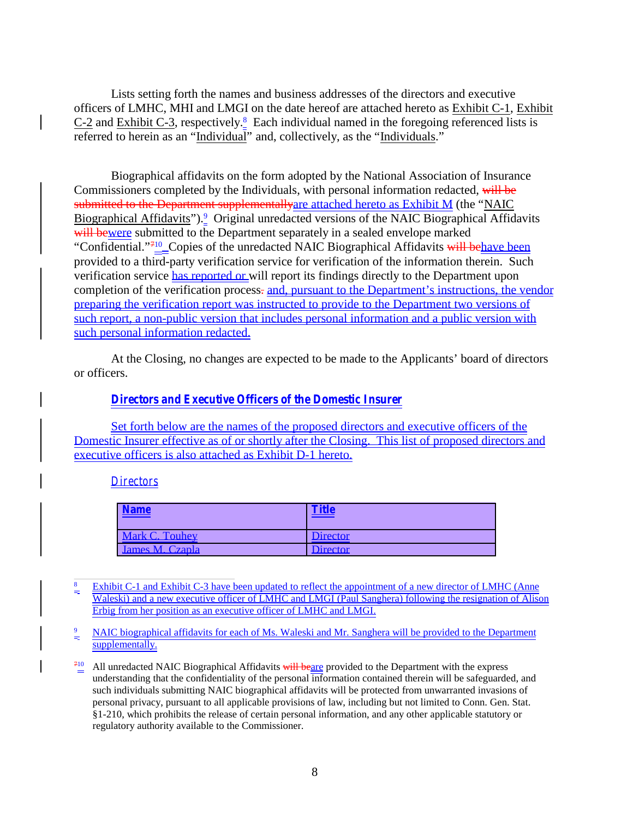Lists setting forth the names and business addresses of the directors and executive officers of LMHC, MHI and LMGI on the date hereof are attached hereto as Exhibit C-1, Exhibit C-2 and Exhibit C-3, respectively. $\frac{8}{3}$  Each individual named in the foregoing referenced lists is referred to herein as an "Individual" and, collectively, as the "Individuals."

Biographical affidavits on the form adopted by the National Association of Insurance Commissioners completed by the Individuals, with personal information redacted, will be submitted to the Department supplementallyare attached hereto as Exhibit M (the "NAIC Biographical Affidavits").<sup>9</sup> Original unredacted versions of the NAIC Biographical Affidavits will bewere submitted to the Department separately in a sealed envelope marked "Confidential."<sup>710</sup>\_Copies of the unredacted NAIC Biographical Affidavits will behave been provided to a third-party verification service for verification of the information therein. Such verification service has reported or will report its findings directly to the Department upon completion of the verification process. and, pursuant to the Department's instructions, the vendor preparing the verification report was instructed to provide to the Department two versions of such report, a non-public version that includes personal information and a public version with such personal information redacted.

At the Closing, no changes are expected to be made to the Applicants' board of directors or officers.

## *Directors and Executive Officers of the Domestic Insurer*

Set forth below are the names of the proposed directors and executive officers of the Domestic Insurer effective as of or shortly after the Closing. This list of proposed directors and executive officers is also attached as Exhibit D-1 hereto.

#### *Directors*

| <b>Name</b>     | Title    |
|-----------------|----------|
| Mark C. Touhey  | Director |
| James M. Czapla | Director |

- $\frac{8}{2}$  Exhibit C-1 and Exhibit C-3 have been updated to reflect the appointment of a new director of LMHC (Anne Waleski) and a new executive officer of LMHC and LMGI (Paul Sanghera) following the resignation of Alison Erbig from her position as an executive officer of LMHC and LMGI.
- NAIC biographical affidavits for each of Ms. Waleski and Mr. Sanghera will be provided to the Department supplementally.
- $\frac{710}{2}$  All unredacted NAIC Biographical Affidavits will beare provided to the Department with the express understanding that the confidentiality of the personal information contained therein will be safeguarded, and such individuals submitting NAIC biographical affidavits will be protected from unwarranted invasions of personal privacy, pursuant to all applicable provisions of law, including but not limited to Conn. Gen. Stat. §1-210, which prohibits the release of certain personal information, and any other applicable statutory or regulatory authority available to the Commissioner.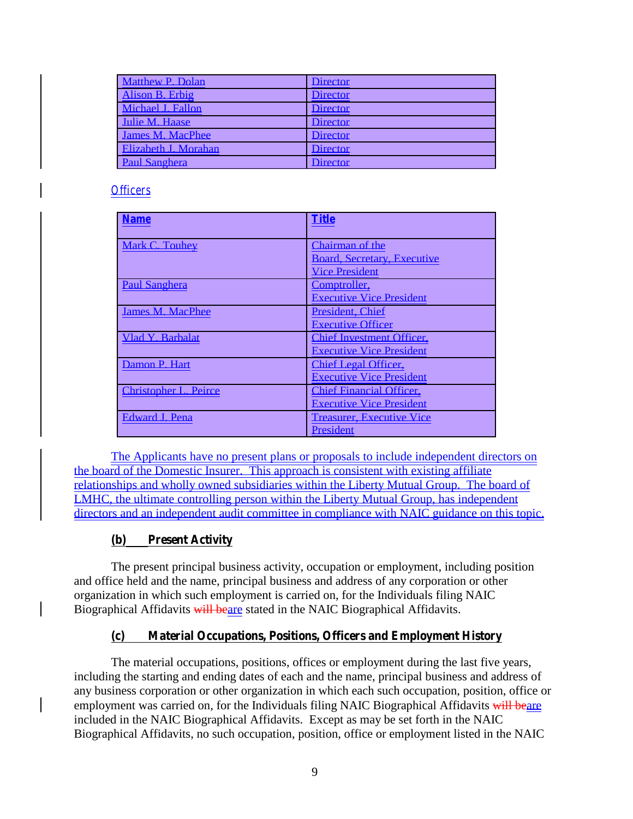| <b>Matthew P. Dolan</b> | <b>Director</b> |
|-------------------------|-----------------|
| Alison B. Erbig         | <b>Director</b> |
| Michael J. Fallon       | <b>Director</b> |
| Julie M. Haase          | <b>Director</b> |
| <b>James M. MacPhee</b> | <b>Director</b> |
| Elizabeth J. Morahan    | <b>Director</b> |
| <b>Paul Sanghera</b>    | <b>Director</b> |

## *Of icers*

| <b>Name</b>                  | <b>Title</b>                       |
|------------------------------|------------------------------------|
| Mark C. Touhey               | Chairman of the                    |
|                              | <b>Board, Secretary, Executive</b> |
|                              | <b>Vice President</b>              |
| <b>Paul Sanghera</b>         | Comptroller,                       |
|                              | <b>Executive Vice President</b>    |
| <b>James M. MacPhee</b>      | <b>President, Chief</b>            |
|                              | <b>Executive Officer</b>           |
| Vlad Y. Barbalat             | <b>Chief Investment Officer,</b>   |
|                              | <b>Executive Vice President</b>    |
| Damon P. Hart                | <b>Chief Legal Officer.</b>        |
|                              | <b>Executive Vice President</b>    |
| <b>Christopher L. Peirce</b> | <b>Chief Financial Officer.</b>    |
|                              | <b>Executive Vice President</b>    |
| Edward J. Pena               | <b>Treasurer, Executive Vice</b>   |
|                              | <b>President</b>                   |

The Applicants have no present plans or proposals to include independent directors on the board of the Domestic Insurer. This approach is consistent with existing affiliate relationships and wholly owned subsidiaries within the Liberty Mutual Group. The board of LMHC, the ultimate controlling person within the Liberty Mutual Group, has independent directors and an independent audit committee in compliance with NAIC guidance on this topic.

## **(b) Present Activity**

The present principal business activity, occupation or employment, including position and office held and the name, principal business and address of any corporation or other organization in which such employment is carried on, for the Individuals filing NAIC Biographical Affidavits will beare stated in the NAIC Biographical Affidavits.

# **(c) Material Occupations, Positions, Officers and Employment History**

The material occupations, positions, offices or employment during the last five years, including the starting and ending dates of each and the name, principal business and address of any business corporation or other organization in which each such occupation, position, office or employment was carried on, for the Individuals filing NAIC Biographical Affidavits will beare included in the NAIC Biographical Affidavits. Except as may be set forth in the NAIC Biographical Affidavits, no such occupation, position, office or employment listed in the NAIC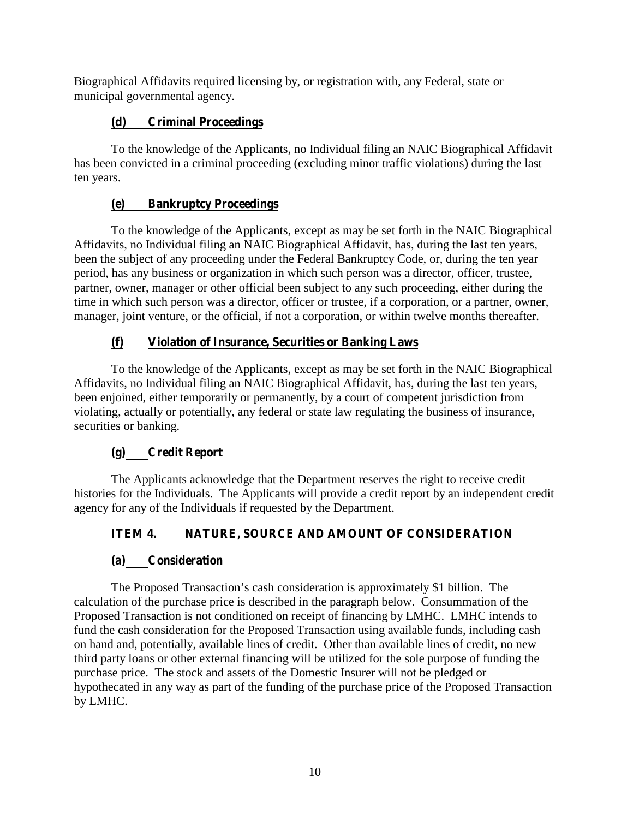Biographical Affidavits required licensing by, or registration with, any Federal, state or municipal governmental agency.

# **(d) Criminal Proceedings**

To the knowledge of the Applicants, no Individual filing an NAIC Biographical Affidavit has been convicted in a criminal proceeding (excluding minor traffic violations) during the last ten years.

# **(e) Bankruptcy Proceedings**

To the knowledge of the Applicants, except as may be set forth in the NAIC Biographical Affidavits, no Individual filing an NAIC Biographical Affidavit, has, during the last ten years, been the subject of any proceeding under the Federal Bankruptcy Code, or, during the ten year period, has any business or organization in which such person was a director, officer, trustee, partner, owner, manager or other official been subject to any such proceeding, either during the time in which such person was a director, officer or trustee, if a corporation, or a partner, owner, manager, joint venture, or the official, if not a corporation, or within twelve months thereafter.

# **(f) Violation of Insurance, Securities or Banking Laws**

To the knowledge of the Applicants, except as may be set forth in the NAIC Biographical Affidavits, no Individual filing an NAIC Biographical Affidavit, has, during the last ten years, been enjoined, either temporarily or permanently, by a court of competent jurisdiction from violating, actually or potentially, any federal or state law regulating the business of insurance, securities or banking.

# **(g) Credit Report**

The Applicants acknowledge that the Department reserves the right to receive credit histories for the Individuals. The Applicants will provide a credit report by an independent credit agency for any of the Individuals if requested by the Department.

# **ITEM 4. NATURE, SOURCE AND AMOUNT OF CONSIDERATION**

# **(a) Consideration**

The Proposed Transaction's cash consideration is approximately \$1 billion. The calculation of the purchase price is described in the paragraph below. Consummation of the Proposed Transaction is not conditioned on receipt of financing by LMHC. LMHC intends to fund the cash consideration for the Proposed Transaction using available funds, including cash on hand and, potentially, available lines of credit. Other than available lines of credit, no new third party loans or other external financing will be utilized for the sole purpose of funding the purchase price. The stock and assets of the Domestic Insurer will not be pledged or hypothecated in any way as part of the funding of the purchase price of the Proposed Transaction by LMHC.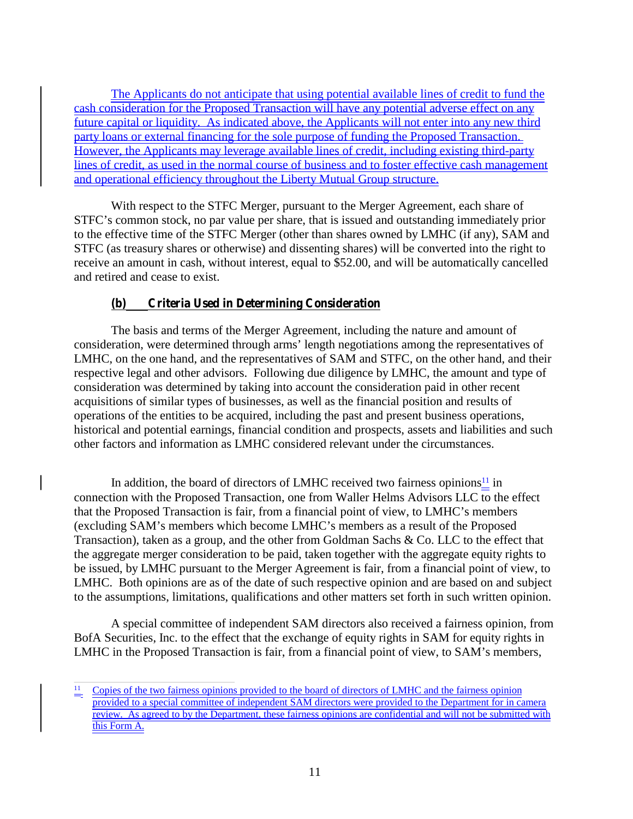The Applicants do not anticipate that using potential available lines of credit to fund the cash consideration for the Proposed Transaction will have any potential adverse effect on any future capital or liquidity. As indicated above, the Applicants will not enter into any new third party loans or external financing for the sole purpose of funding the Proposed Transaction. However, the Applicants may leverage available lines of credit, including existing third-party lines of credit, as used in the normal course of business and to foster effective cash management and operational efficiency throughout the Liberty Mutual Group structure.

With respect to the STFC Merger, pursuant to the Merger Agreement, each share of STFC's common stock, no par value per share, that is issued and outstanding immediately prior to the effective time of the STFC Merger (other than shares owned by LMHC (if any), SAM and STFC (as treasury shares or otherwise) and dissenting shares) will be converted into the right to receive an amount in cash, without interest, equal to \$52.00, and will be automatically cancelled and retired and cease to exist.

# **(b) Criteria Used in Determining Consideration**

The basis and terms of the Merger Agreement, including the nature and amount of consideration, were determined through arms' length negotiations among the representatives of LMHC, on the one hand, and the representatives of SAM and STFC, on the other hand, and their respective legal and other advisors. Following due diligence by LMHC, the amount and type of consideration was determined by taking into account the consideration paid in other recent acquisitions of similar types of businesses, as well as the financial position and results of operations of the entities to be acquired, including the past and present business operations, historical and potential earnings, financial condition and prospects, assets and liabilities and such other factors and information as LMHC considered relevant under the circumstances.

In addition, the board of directors of LMHC received two fairness opinions $\frac{11}{1}$  in connection with the Proposed Transaction, one from Waller Helms Advisors LLC to the effect that the Proposed Transaction is fair, from a financial point of view, to LMHC's members (excluding SAM's members which become LMHC's members as a result of the Proposed Transaction), taken as a group, and the other from Goldman Sachs & Co. LLC to the effect that the aggregate merger consideration to be paid, taken together with the aggregate equity rights to be issued, by LMHC pursuant to the Merger Agreement is fair, from a financial point of view, to LMHC. Both opinions are as of the date of such respective opinion and are based on and subject to the assumptions, limitations, qualifications and other matters set forth in such written opinion.

A special committee of independent SAM directors also received a fairness opinion, from BofA Securities, Inc. to the effect that the exchange of equity rights in SAM for equity rights in LMHC in the Proposed Transaction is fair, from a financial point of view, to SAM's members,

Copies of the two fairness opinions provided to the board of directors of LMHC and the fairness opinion provided to a special committee of independent SAM directors were provided to the Department for in camera review. As agreed to by the Department, these fairness opinions are confidential and will not be submitted with this Form A.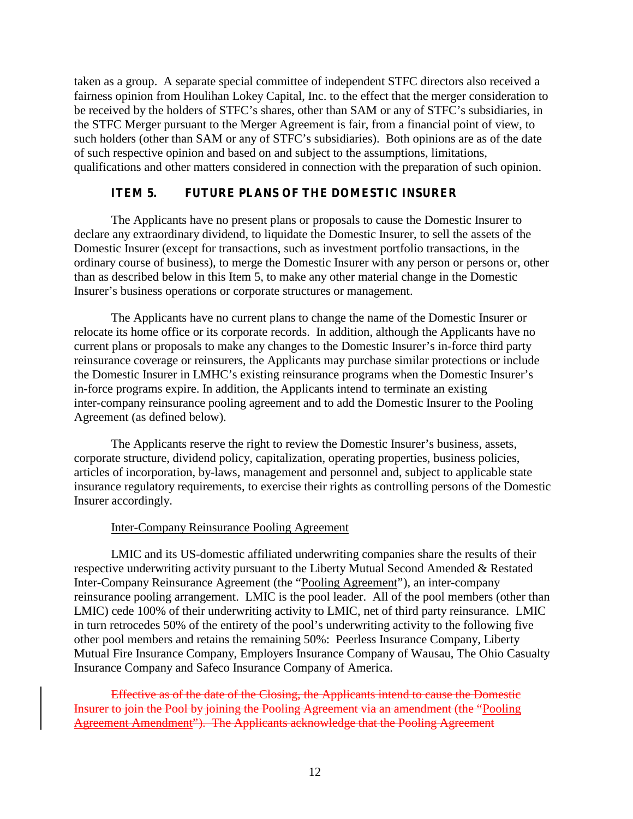taken as a group. A separate special committee of independent STFC directors also received a fairness opinion from Houlihan Lokey Capital, Inc. to the effect that the merger consideration to be received by the holders of STFC's shares, other than SAM or any of STFC's subsidiaries, in the STFC Merger pursuant to the Merger Agreement is fair, from a financial point of view, to such holders (other than SAM or any of STFC's subsidiaries). Both opinions are as of the date of such respective opinion and based on and subject to the assumptions, limitations, qualifications and other matters considered in connection with the preparation of such opinion.

# **ITEM 5. FUTURE PLANS OF THE DOMESTIC INSURER**

The Applicants have no present plans or proposals to cause the Domestic Insurer to declare any extraordinary dividend, to liquidate the Domestic Insurer, to sell the assets of the Domestic Insurer (except for transactions, such as investment portfolio transactions, in the ordinary course of business), to merge the Domestic Insurer with any person or persons or, other than as described below in this Item 5, to make any other material change in the Domestic Insurer's business operations or corporate structures or management.

The Applicants have no current plans to change the name of the Domestic Insurer or relocate its home office or its corporate records. In addition, although the Applicants have no current plans or proposals to make any changes to the Domestic Insurer's in-force third party reinsurance coverage or reinsurers, the Applicants may purchase similar protections or include the Domestic Insurer in LMHC's existing reinsurance programs when the Domestic Insurer's in-force programs expire. In addition, the Applicants intend to terminate an existing inter-company reinsurance pooling agreement and to add the Domestic Insurer to the Pooling Agreement (as defined below).

The Applicants reserve the right to review the Domestic Insurer's business, assets, corporate structure, dividend policy, capitalization, operating properties, business policies, articles of incorporation, by-laws, management and personnel and, subject to applicable state insurance regulatory requirements, to exercise their rights as controlling persons of the Domestic Insurer accordingly.

## Inter-Company Reinsurance Pooling Agreement

LMIC and its US-domestic affiliated underwriting companies share the results of their respective underwriting activity pursuant to the Liberty Mutual Second Amended & Restated Inter-Company Reinsurance Agreement (the "Pooling Agreement"), an inter-company reinsurance pooling arrangement. LMIC is the pool leader. All of the pool members (other than LMIC) cede 100% of their underwriting activity to LMIC, net of third party reinsurance. LMIC in turn retrocedes 50% of the entirety of the pool's underwriting activity to the following five other pool members and retains the remaining 50%: Peerless Insurance Company, Liberty Mutual Fire Insurance Company, Employers Insurance Company of Wausau, The Ohio Casualty Insurance Company and Safeco Insurance Company of America.

Effective as of the date of the Closing, the Applicants intend to cause the Domestic Insurer to join the Pool by joining the Pooling Agreement via an amendment (the "Pooling Agreement Amendment"). The Applicants acknowledge that the Pooling Agreement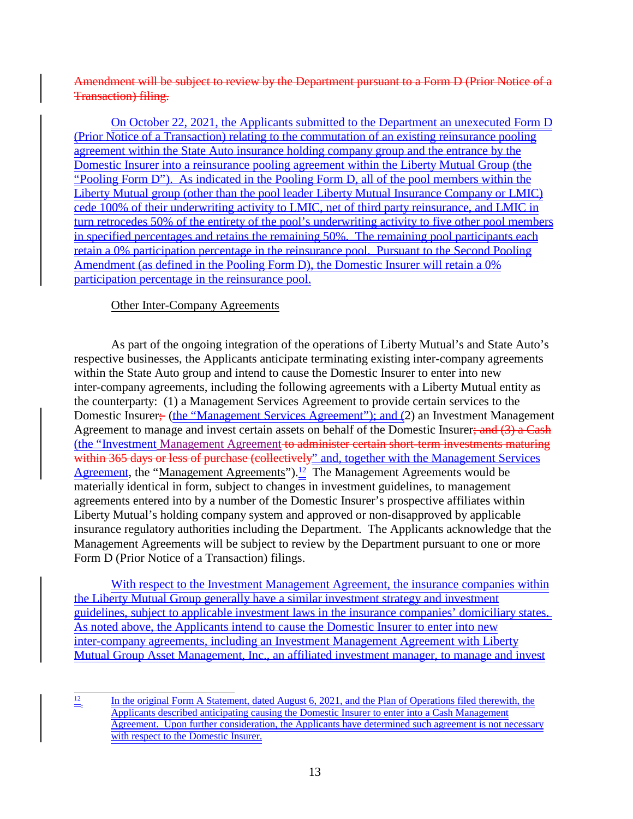## Amendment will be subject to review by the Department pursuant to a Form D (Prior Notice of a Transaction) filing.

On October 22, 2021, the Applicants submitted to the Department an unexecuted Form D (Prior Notice of a Transaction) relating to the commutation of an existing reinsurance pooling agreement within the State Auto insurance holding company group and the entrance by the Domestic Insurer into a reinsurance pooling agreement within the Liberty Mutual Group (the "Pooling Form D"). As indicated in the Pooling Form D, all of the pool members within the Liberty Mutual group (other than the pool leader Liberty Mutual Insurance Company or LMIC) cede 100% of their underwriting activity to LMIC, net of third party reinsurance, and LMIC in turn retrocedes 50% of the entirety of the pool's underwriting activity to five other pool members in specified percentages and retains the remaining 50%. The remaining pool participants each retain a 0% participation percentage in the reinsurance pool. Pursuant to the Second Pooling Amendment (as defined in the Pooling Form D), the Domestic Insurer will retain a 0% participation percentage in the reinsurance pool.

## Other Inter-Company Agreements

As part of the ongoing integration of the operations of Liberty Mutual's and State Auto's respective businesses, the Applicants anticipate terminating existing inter-company agreements within the State Auto group and intend to cause the Domestic Insurer to enter into new inter-company agreements, including the following agreements with a Liberty Mutual entity as the counterparty: (1) a Management Services Agreement to provide certain services to the Domestic Insurer; (the "Management Services Agreement"); and (2) an Investment Management Agreement to manage and invest certain assets on behalf of the Domestic Insurer; and (3) a Cash (the "Investment Management Agreement to administer certain short-term investments maturing within 365 days or less of purchase (collectively" and, together with the Management Services Agreement, the "Management Agreements").<sup>12</sup> The Management Agreements would be materially identical in form, subject to changes in investment guidelines, to management agreements entered into by a number of the Domestic Insurer's prospective affiliates within Liberty Mutual's holding company system and approved or non-disapproved by applicable insurance regulatory authorities including the Department. The Applicants acknowledge that the Management Agreements will be subject to review by the Department pursuant to one or more Form D (Prior Notice of a Transaction) filings.

With respect to the Investment Management Agreement, the insurance companies within the Liberty Mutual Group generally have a similar investment strategy and investment guidelines, subject to applicable investment laws in the insurance companies' domiciliary states. As noted above, the Applicants intend to cause the Domestic Insurer to enter into new inter-company agreements, including an Investment Management Agreement with Liberty Mutual Group Asset Management, Inc., an affiliated investment manager, to manage and invest

 $\frac{12}{2}$  In the original Form A Statement, dated August 6, 2021, and the Plan of Operations filed therewith, the Applicants described anticipating causing the Domestic Insurer to enter into a Cash Management Agreement. Upon further consideration, the Applicants have determined such agreement is not necessary with respect to the Domestic Insurer.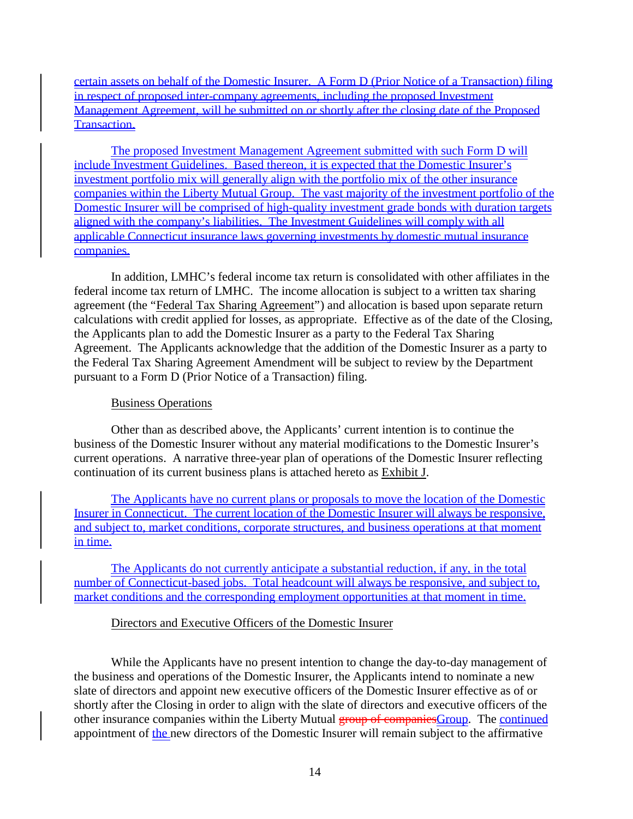certain assets on behalf of the Domestic Insurer. A Form D (Prior Notice of a Transaction) filing in respect of proposed inter-company agreements, including the proposed Investment Management Agreement, will be submitted on or shortly after the closing date of the Proposed Transaction.

The proposed Investment Management Agreement submitted with such Form D will include Investment Guidelines. Based thereon, it is expected that the Domestic Insurer's investment portfolio mix will generally align with the portfolio mix of the other insurance companies within the Liberty Mutual Group. The vast majority of the investment portfolio of the Domestic Insurer will be comprised of high-quality investment grade bonds with duration targets aligned with the company's liabilities. The Investment Guidelines will comply with all applicable Connecticut insurance laws governing investments by domestic mutual insurance companies.

In addition, LMHC's federal income tax return is consolidated with other affiliates in the federal income tax return of LMHC. The income allocation is subject to a written tax sharing agreement (the "Federal Tax Sharing Agreement") and allocation is based upon separate return calculations with credit applied for losses, as appropriate. Effective as of the date of the Closing, the Applicants plan to add the Domestic Insurer as a party to the Federal Tax Sharing Agreement. The Applicants acknowledge that the addition of the Domestic Insurer as a party to the Federal Tax Sharing Agreement Amendment will be subject to review by the Department pursuant to a Form D (Prior Notice of a Transaction) filing.

## Business Operations

Other than as described above, the Applicants' current intention is to continue the business of the Domestic Insurer without any material modifications to the Domestic Insurer's current operations. A narrative three-year plan of operations of the Domestic Insurer reflecting continuation of its current business plans is attached hereto as Exhibit J.

The Applicants have no current plans or proposals to move the location of the Domestic Insurer in Connecticut. The current location of the Domestic Insurer will always be responsive, and subject to, market conditions, corporate structures, and business operations at that moment in time.<br>The Applicants do not currently anticipate a substantial reduction, if any, in the total

number of Connecticut-based jobs. Total headcount will always be responsive, and subject to, market conditions and the corresponding employment opportunities at that moment in time.

## Directors and Executive Officers of the Domestic Insurer

While the Applicants have no present intention to change the day-to-day management of the business and operations of the Domestic Insurer, the Applicants intend to nominate a new slate of directors and appoint new executive officers of the Domestic Insurer effective as of or shortly after the Closing in order to align with the slate of directors and executive officers of the other insurance companies within the Liberty Mutual group of companies Group. The continued appointment of the new directors of the Domestic Insurer will remain subject to the affirmative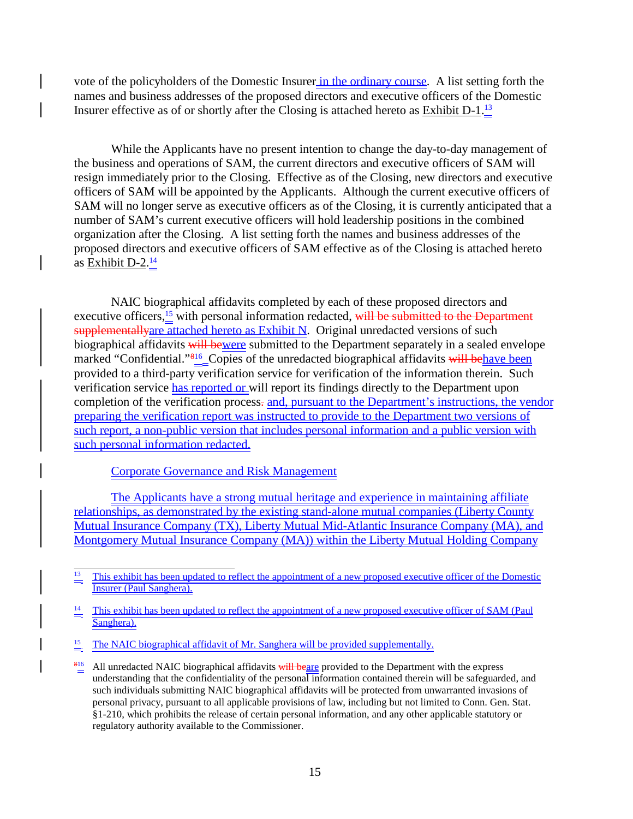vote of the policyholders of the Domestic Insurer in the ordinary course. A list setting forth the names and business addresses of the proposed directors and executive officers of the Domestic Insurer effective as of or shortly after the Closing is attached hereto as Exhibit  $D-1.\frac{13}{4}$ 

While the Applicants have no present intention to change the day-to-day management of the business and operations of SAM, the current directors and executive officers of SAM will resign immediately prior to the Closing. Effective as of the Closing, new directors and executive officers of SAM will be appointed by the Applicants. Although the current executive officers of SAM will no longer serve as executive officers as of the Closing, it is currently anticipated that a number of SAM's current executive officers will hold leadership positions in the combined organization after the Closing. A list setting forth the names and business addresses of the proposed directors and executive officers of SAM effective as of the Closing is attached hereto as Exhibit  $D-2.\frac{14}{1}$ 

NAIC biographical affidavits completed by each of these proposed directors and executive officers, $\frac{15}{2}$  with personal information redacted, will be submitted to the Department supplementally are attached hereto as Exhibit N. Original unredacted versions of such biographical affidavits will bewere submitted to the Department separately in a sealed envelope marked "Confidential."<sup>816</sup>\_Copies of the unredacted biographical affidavits will behave been provided to a third-party verification service for verification of the information therein. Such verification service has reported or will report its findings directly to the Department upon completion of the verification process. and, pursuant to the Department's instructions, the vendor preparing the verification report was instructed to provide to the Department two versions of such report, a non-public version that includes personal information and a public version with such personal information redacted.

#### Corporate Governance and Risk Management

The Applicants have a strong mutual heritage and experience in maintaining affiliate relationships, as demonstrated by the existing stand-alone mutual companies (Liberty County Mutual Insurance Company (TX), Liberty Mutual Mid-Atlantic Insurance Company (MA), and Montgomery Mutual Insurance Company (MA)) within the Liberty Mutual Holding Company

<sup>15</sup> The NAIC biographical affidavit of Mr. Sanghera will be provided supplementally.

<sup>&</sup>lt;sup>13</sup> This exhibit has been updated to reflect the appointment of a new proposed executive officer of the Domestic Insurer (Paul Sanghera).

This exhibit has been updated to reflect the appointment of a new proposed executive officer of SAM (Paul Sanghera).

 $\frac{816}{2}$  All unredacted NAIC biographical affidavits will beare provided to the Department with the express understanding that the confidentiality of the personal information contained therein will be safeguarded, and such individuals submitting NAIC biographical affidavits will be protected from unwarranted invasions of personal privacy, pursuant to all applicable provisions of law, including but not limited to Conn. Gen. Stat. §1-210, which prohibits the release of certain personal information, and any other applicable statutory or regulatory authority available to the Commissioner.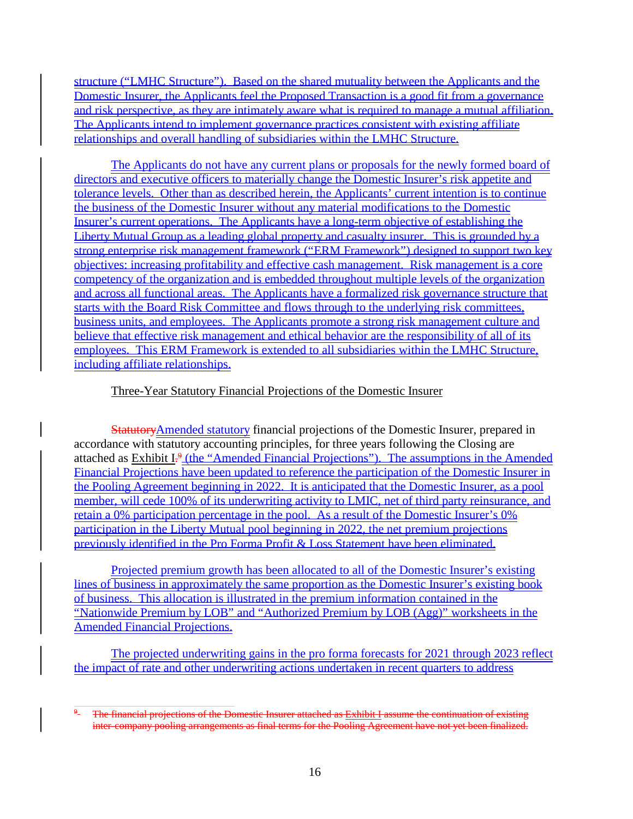structure ("LMHC Structure"). Based on the shared mutuality between the Applicants and the Domestic Insurer, the Applicants feel the Proposed Transaction is a good fit from a governance and risk perspective, as they are intimately aware what is required to manage a mutual affiliation. The Applicants intend to implement governance practices consistent with existing affiliate relationships and overall handling of subsidiaries within the LMHC Structure.

The Applicants do not have any current plans or proposals for the newly formed board of directors and executive officers to materially change the Domestic Insurer's risk appetite and tolerance levels. Other than as described herein, the Applicants' current intention is to continue the business of the Domestic Insurer without any material modifications to the Domestic Insurer's current operations. The Applicants have a long-term objective of establishing the Liberty Mutual Group as a leading global property and casualty insurer. This is grounded by a strong enterprise risk management framework ("ERM Framework") designed to support two key objectives: increasing profitability and effective cash management. Risk management is a core competency of the organization and is embedded throughout multiple levels of the organization and across all functional areas. The Applicants have a formalized risk governance structure that starts with the Board Risk Committee and flows through to the underlying risk committees, business units, and employees. The Applicants promote a strong risk management culture and believe that effective risk management and ethical behavior are the responsibility of all of its employees. This ERM Framework is extended to all subsidiaries within the LMHC Structure, including affiliate relationships.

## Three-Year Statutory Financial Projections of the Domestic Insurer

StatutoryAmended statutory financial projections of the Domestic Insurer, prepared in accordance with statutory accounting principles, for three years following the Closing are attached as  $Exhibit I<sup>9</sup>$  (the "Amended Financial Projections"). The assumptions in the Amended Financial Projections have been updated to reference the participation of the Domestic Insurer in the Pooling Agreement beginning in 2022. It is anticipated that the Domestic Insurer, as a pool member, will cede 100% of its underwriting activity to LMIC, net of third party reinsurance, and retain a 0% participation percentage in the pool. As a result of the Domestic Insurer's 0% participation in the Liberty Mutual pool beginning in 2022, the net premium projections previously identified in the Pro Forma Profit & Loss Statement have been eliminated.

Projected premium growth has been allocated to all of the Domestic Insurer's existing lines of business in approximately the same proportion as the Domestic Insurer's existing book of business. This allocation is illustrated in the premium information contained in the "Nationwide Premium by LOB" and "Authorized Premium by LOB (Agg)" worksheets in the Amended Financial Projections.

The projected underwriting gains in the pro forma forecasts for 2021 through 2023 reflect the impact of rate and other underwriting actions undertaken in recent quarters to address

<sup>&</sup>lt;sup>9</sup>- The financial projections of the Domestic Insurer attached as Exhibit I assume the continuation of existing inter-company pooling arrangements as final terms for the Pooling Agreement have not yet been finalized.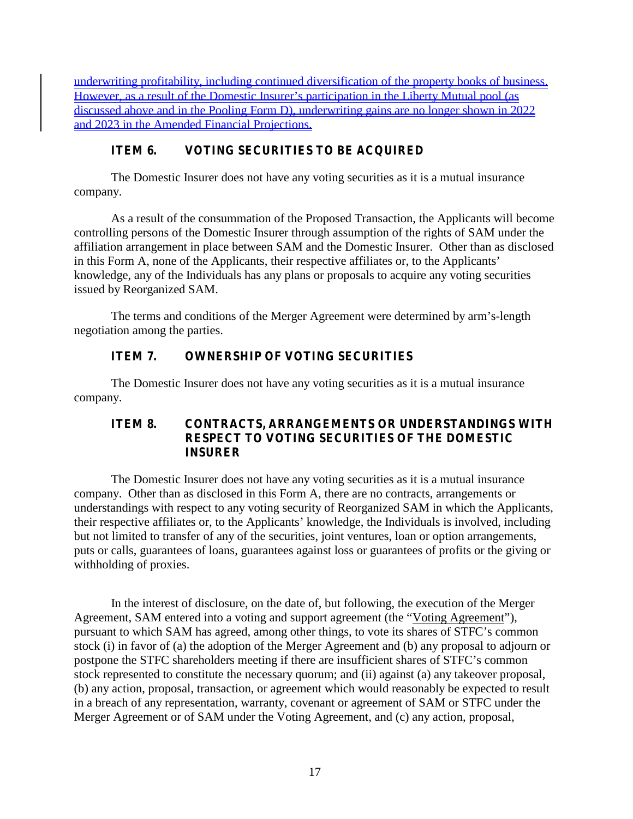underwriting profitability, including continued diversification of the property books of business. However, as a result of the Domestic Insurer's participation in the Liberty Mutual pool (as discussed above and in the Pooling Form D), underwriting gains are no longer shown in 2022 and 2023 in the Amended Financial Projections.

# **ITEM 6. VOTING SECURITIES TO BE ACQUIRED**

The Domestic Insurer does not have any voting securities as itis a mutual insurance company.

As a result of the consummation of the Proposed Transaction, the Applicants will become controlling persons of the Domestic Insurer through assumption of the rights of SAM under the affiliation arrangement in place between SAM and the Domestic Insurer. Other than as disclosed in this Form A, none of the Applicants, their respective affiliates or, to the Applicants' knowledge, any of the Individuals has any plans or proposals to acquire any voting securities issued by Reorganized SAM.

The terms and conditions of the Merger Agreement were determined by arm's-length negotiation among the parties.

# **ITEM 7. OWNERSHIP OF VOTING SECURITIES**

The Domestic Insurer does not have any voting securities as itis a mutual insurance company.

# **ITEM 8. CONTRACTS, ARRANGEMENTS OR UNDERSTANDINGS WITH RESPECT TO VOTING SECURITIES OF THE DOMESTIC INSURER**

The Domestic Insurer does not have any voting securities as itis a mutual insurance company. Other than as disclosed in this Form A, there are no contracts, arrangements or understandings with respect to any voting security of Reorganized SAM in which the Applicants, their respective affiliates or, to the Applicants' knowledge, the Individuals is involved, including but not limited to transfer of any of the securities, joint ventures, loan or option arrangements, puts or calls, guarantees of loans, guarantees against loss or guarantees of profits or the giving or withholding of proxies.

In the interest of disclosure, on the date of, but following, the execution of the Merger Agreement, SAM entered into a voting and support agreement (the "Voting Agreement"), pursuant to which SAM has agreed, among other things, to vote its shares of STFC's common stock (i) in favor of (a) the adoption of the Merger Agreement and (b) any proposal to adjourn or postpone the STFC shareholders meeting if there are insufficient shares of STFC's common stock represented to constitute the necessary quorum; and (ii) against (a) any takeover proposal, (b) any action, proposal, transaction, or agreement which would reasonably be expected to result in a breach of any representation, warranty, covenant or agreement of SAM or STFC under the Merger Agreement or of SAM under the Voting Agreement, and (c) any action, proposal,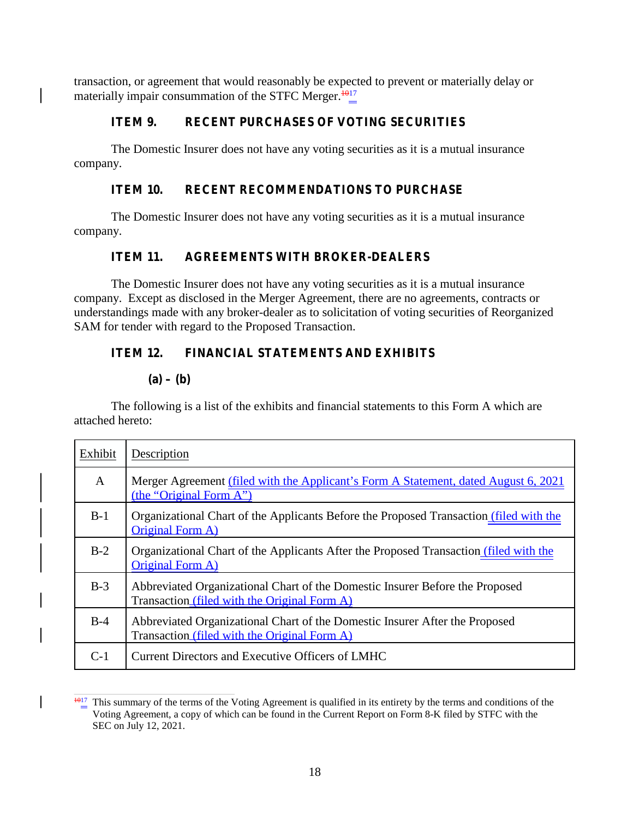transaction, or agreement that would reasonably be expected to prevent or materially delay or materially impair consummation of the STFC Merger. $1017$ 

# **ITEM 9. RECENT PURCHASES OF VOTING SECURITIES**

The Domestic Insurer does not have any voting securities as itis a mutual insurance company.

## **ITEM 10. RECENT RECOMMENDATIONS TO PURCHASE**

The Domestic Insurer does not have any voting securities as it is a mutual insurance company.

# **ITEM 11. AGREEMENTS WITH BROKER-DEALERS**

The Domestic Insurer does not have any voting securities as it is a mutual insurance company. Except as disclosed in the Merger Agreement, there are no agreements, contracts or understandings made with any broker-dealer as to solicitation of voting securities of Reorganized SAM for tender with regard to the Proposed Transaction.

# **ITEM 12. FINANCIAL STATEMENTS AND EXHIBITS**

## $(a) - (b)$

The following is a list of the exhibits and financial statements to this Form A which are attached hereto:

| Exhibit | Description                                                                                                                  |
|---------|------------------------------------------------------------------------------------------------------------------------------|
| A       | Merger Agreement (filed with the Applicant's Form A Statement, dated August 6, 2021<br>(the "Original Form A")               |
| $B-1$   | Organizational Chart of the Applicants Before the Proposed Transaction (filed with the<br>Original Form A)                   |
| $B-2$   | Organizational Chart of the Applicants After the Proposed Transaction (filed with the<br>Original Form A)                    |
| $B-3$   | Abbreviated Organizational Chart of the Domestic Insurer Before the Proposed<br>Transaction (filed with the Original Form A) |
| $B-4$   | Abbreviated Organizational Chart of the Domestic Insurer After the Proposed<br>Transaction (filed with the Original Form A)  |
| $C-1$   | Current Directors and Executive Officers of LMHC                                                                             |

 $\frac{1017}{101}$  This summary of the terms of the Voting Agreement is qualified in its entirety by the terms and conditions of the Voting Agreement, a copy of which can be found in the Current Report on Form 8-K filed by STFC with the SEC on July 12, 2021.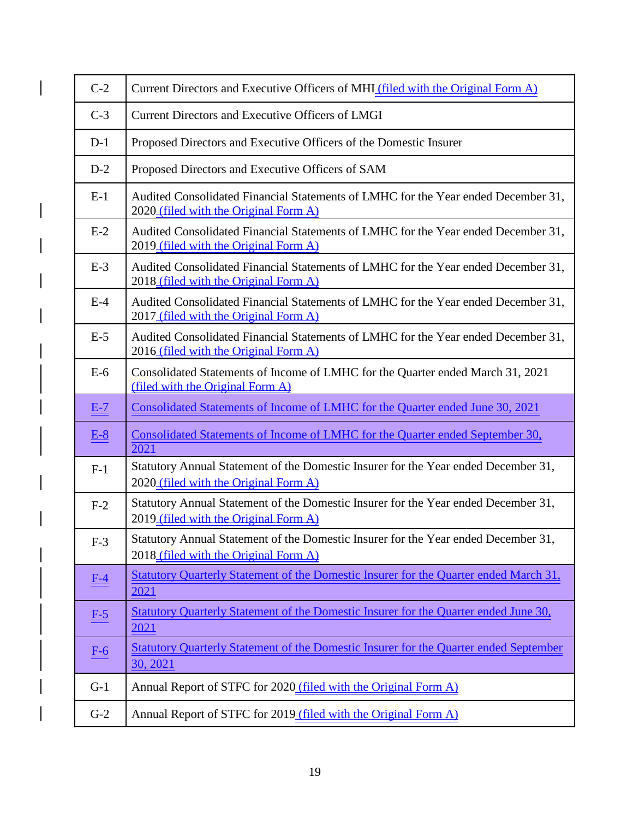| $C-2$             | Current Directors and Executive Officers of MHI (filed with the Original Form A)                                            |
|-------------------|-----------------------------------------------------------------------------------------------------------------------------|
| $C-3$             | Current Directors and Executive Officers of LMGI                                                                            |
| $D-1$             | Proposed Directors and Executive Officers of the Domestic Insurer                                                           |
| $D-2$             | Proposed Directors and Executive Officers of SAM                                                                            |
| $E-1$             | Audited Consolidated Financial Statements of LMHC for the Year ended December 31,<br>2020 (filed with the Original Form A)  |
| $E-2$             | Audited Consolidated Financial Statements of LMHC for the Year ended December 31,<br>2019 (filed with the Original Form A)  |
| $E-3$             | Audited Consolidated Financial Statements of LMHC for the Year ended December 31,<br>2018 (filed with the Original Form A)  |
| $E-4$             | Audited Consolidated Financial Statements of LMHC for the Year ended December 31,<br>2017 (filed with the Original Form A)  |
| $E-5$             | Audited Consolidated Financial Statements of LMHC for the Year ended December 31,<br>2016 (filed with the Original Form A)  |
| $E-6$             | Consolidated Statements of Income of LMHC for the Quarter ended March 31, 2021<br>(filed with the Original Form A)          |
| $E-7$             | Consolidated Statements of Income of LMHC for the Quarter ended June 30, 2021                                               |
| $E-8$             | Consolidated Statements of Income of LMHC for the Quarter ended September 30,<br>2021                                       |
| $F-1$             | Statutory Annual Statement of the Domestic Insurer for the Year ended December 31,<br>2020 (filed with the Original Form A) |
| $F-2$             | Statutory Annual Statement of the Domestic Insurer for the Year ended December 31,<br>2019 (filed with the Original Form A) |
| $F-3$             | Statutory Annual Statement of the Domestic Insurer for the Year ended December 31,<br>2018 (filed with the Original Form A) |
| $F-4$             | Statutory Quarterly Statement of the Domestic Insurer for the Quarter ended March 31,<br>2021                               |
| $F-5$             | Statutory Quarterly Statement of the Domestic Insurer for the Quarter ended June 30,<br>2021                                |
| $\underline{F-6}$ | Statutory Quarterly Statement of the Domestic Insurer for the Quarter ended September<br>30, 2021                           |
| $G-1$             | Annual Report of STFC for 2020 (filed with the Original Form A)                                                             |
| $G-2$             | Annual Report of STFC for 2019 (filed with the Original Form A)                                                             |

 $\overline{\phantom{a}}$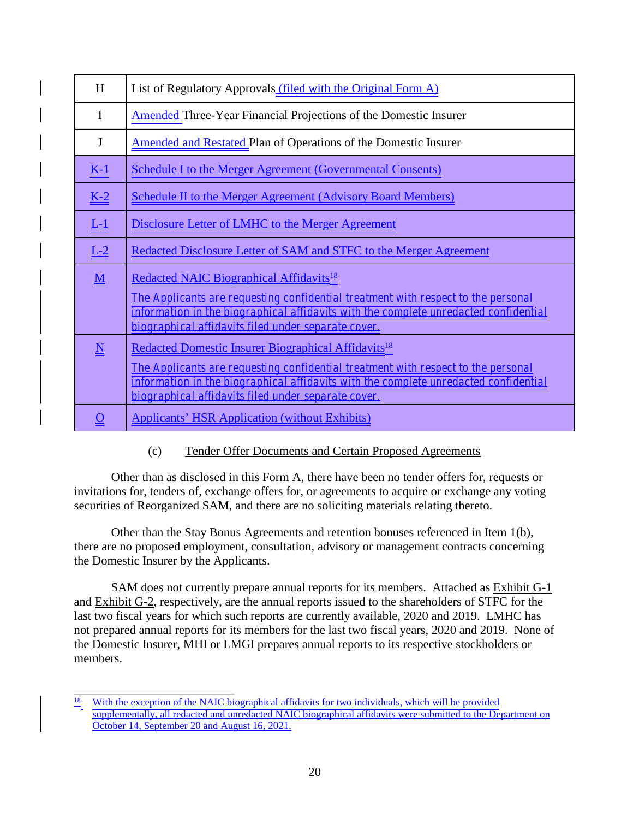| H                                    | List of Regulatory Approvals (filed with the Original Form A)                                                                                                                                                                                                                                       |
|--------------------------------------|-----------------------------------------------------------------------------------------------------------------------------------------------------------------------------------------------------------------------------------------------------------------------------------------------------|
| I                                    | <b>Amended Three-Year Financial Projections of the Domestic Insurer</b>                                                                                                                                                                                                                             |
| J                                    | Amended and Restated Plan of Operations of the Domestic Insurer                                                                                                                                                                                                                                     |
| $\underline{K-1}$                    | <b>Schedule I to the Merger Agreement (Governmental Consents)</b>                                                                                                                                                                                                                                   |
| $K-2$                                | <b>Schedule II to the Merger Agreement (Advisory Board Members)</b>                                                                                                                                                                                                                                 |
| $L-1$                                | Disclosure Letter of LMHC to the Merger Agreement                                                                                                                                                                                                                                                   |
| $L-2$                                | Redacted Disclosure Letter of SAM and STFC to the Merger Agreement                                                                                                                                                                                                                                  |
| $\underline{\underline{\mathbf{M}}}$ | Redacted NAIC Biographical Affidavits <sup>18</sup><br>The Applicants are requesting confidential treatment with respect to the personal<br>information in the biographical affidavits with the complete unredacted confidential<br>biographical affidavits filed under separate cover.             |
| $\underline{\underline{\mathbf{N}}}$ | Redacted Domestic Insurer Biographical Affidavits <sup>18</sup><br>The Applicants are requesting confidential treatment with respect to the personal<br>information in the biographical affidavits with the complete unredacted confidential<br>biographical affidavits filed under separate cover. |
| $\overline{\mathbf{O}}$              | <b>Applicants' HSR Application (without Exhibits)</b>                                                                                                                                                                                                                                               |

# (c) Tender Offer Documents and Certain Proposed Agreements

Other than as disclosed in this Form A, there have been no tender offers for, requests or invitations for, tenders of, exchange offers for, or agreements to acquire or exchange any voting securities of Reorganized SAM, and there are no soliciting materials relating thereto.

Other than the Stay Bonus Agreements and retention bonuses referenced in Item 1(b), there are no proposed employment, consultation, advisory or management contracts concerning the Domestic Insurer by the Applicants.

SAM does not currently prepare annual reports for its members. Attached as Exhibit G-1 and Exhibit G-2, respectively, are the annual reports issued to the shareholders of STFC for the last two fiscal years for which such reports are currently available, 2020 and 2019. LMHC has not prepared annual reports for its members for the last two fiscal years, 2020 and 2019. None of the Domestic Insurer, MHI or LMGI prepares annual reports to its respective stockholders or members.

<sup>&</sup>lt;sup>18</sup> With the exception of the NAIC biographical affidavits for two individuals, which will be provided supplementally, all redacted and unredacted NAIC biographical affidavits were submitted to the Department on October 14, September 20 and August 16, 2021.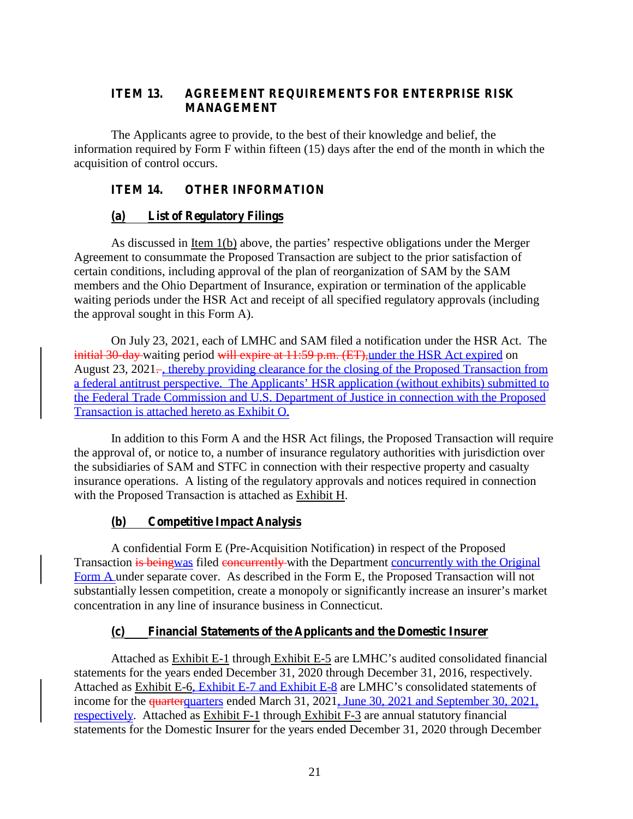# **ITEM 13. AGREEMENT REQUIREMENTS FOR ENTERPRISE RISK MANAGEMENT**

The Applicants agree to provide, to the best of their knowledge and belief, the information required by Form F within fifteen (15) days after the end of the month in which the acquisition of control occurs.

# **ITEM 14. OTHER INFORMATION**

# **(a) List of Regulatory Filings**

As discussed in <u>Item 1(b)</u> above, the parties' respective obligations under the Merger Agreement to consummate the Proposed Transaction are subject to the prior satisfaction of certain conditions, including approval of the plan of reorganization of SAM by the SAM members and the Ohio Department of Insurance, expiration or termination of the applicable waiting periods under the HSR Act and receipt of all specified regulatory approvals (including the approval sought in this Form A).

On July 23, 2021, each of LMHC and SAM filed a notification under the HSR Act. The initial 30-day waiting period will expire at 11:59 p.m. (ET), under the HSR Act expired on August 23, 2021–, thereby providing clearance for the closing of the Proposed Transaction from a federal antitrust perspective. The Applicants' HSR application (without exhibits) submitted to the Federal Trade Commission and U.S. Department of Justice in connection with the Proposed Transaction is attached hereto as Exhibit O.

In addition to this Form A and the HSR Act filings, the Proposed Transaction will require the approval of, or notice to, a number of insurance regulatory authorities with jurisdiction over the subsidiaries of SAM and STFC in connection with their respective property and casualty insurance operations. A listing of the regulatory approvals and notices required in connection with the Proposed Transaction is attached as Exhibit H.

# **(b) Competitive Impact Analysis**

A confidential Form E (Pre-Acquisition Notification) in respect of the Proposed Transaction is beingwas filed concurrently with the Department concurrently with the Original Form A under separate cover. As described in the Form E, the Proposed Transaction will not substantially lessen competition, create a monopoly or significantly increase an insurer's market concentration in any line of insurance business in Connecticut.

# **(c) Financial Statements of the Applicants and the Domestic Insurer**

Attached as Exhibit E-1 through Exhibit E-5 are LMHC's audited consolidated financial statements for the years ended December 31, 2020 through December 31, 2016, respectively. Attached as Exhibit E-6, Exhibit E-7 and Exhibit E-8 are LMHC's consolidated statements of income for the quarterquarters ended March 31, 2021, June 30, 2021 and September 30, 2021, respectively. Attached as Exhibit F-1 through Exhibit F-3 are annual statutory financial statements for the Domestic Insurer for the years ended December 31, 2020 through December